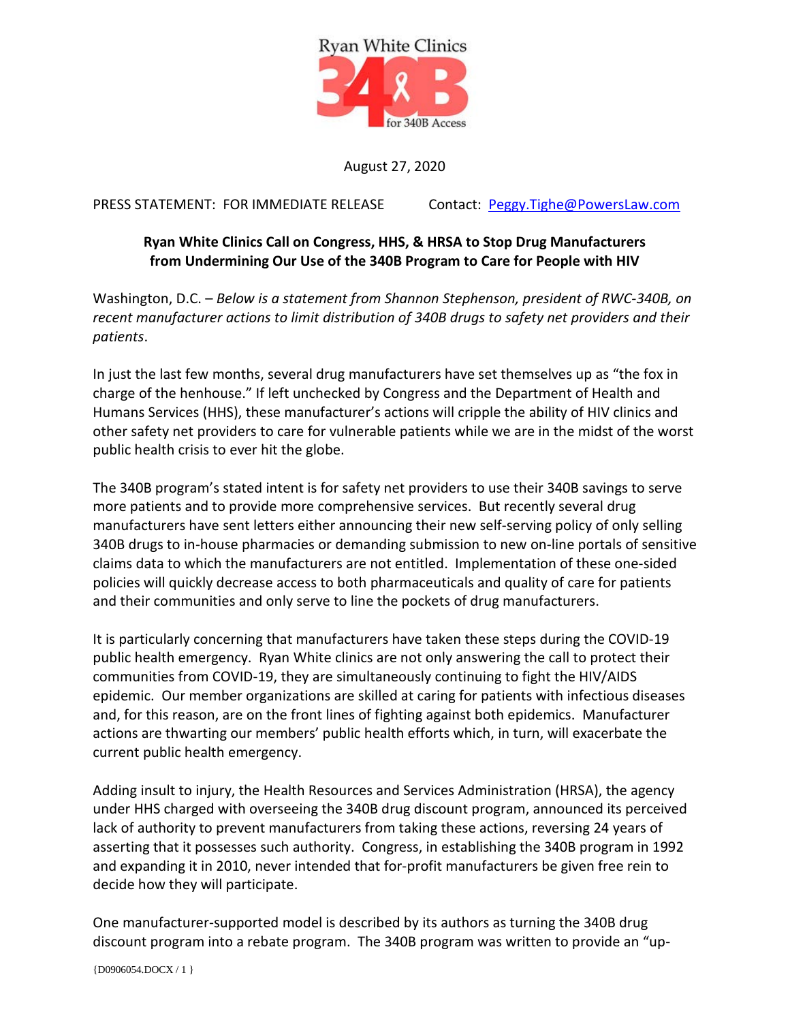

August 27, 2020

PRESS STATEMENT: FOR IMMEDIATE RELEASE Contact: [Peggy.Tighe@PowersLaw.com](mailto:Peggy.Tighe@PowersL)

## **Ryan White Clinics Call on Congress, HHS, & HRSA to Stop Drug Manufacturers from Undermining Our Use of the 340B Program to Care for People with HIV**

Washington, D.C. – *Below is a statement from Shannon Stephenson, president of RWC-340B, on recent manufacturer actions to limit distribution of 340B drugs to safety net providers and their patients*.

In just the last few months, several drug manufacturers have set themselves up as "the fox in charge of the henhouse." If left unchecked by Congress and the Department of Health and Humans Services (HHS), these manufacturer's actions will cripple the ability of HIV clinics and other safety net providers to care for vulnerable patients while we are in the midst of the worst public health crisis to ever hit the globe.

The 340B program's stated intent is for safety net providers to use their 340B savings to serve more patients and to provide more comprehensive services. But recently several drug manufacturers have sent letters either announcing their new self-serving policy of only selling 340B drugs to in-house pharmacies or demanding submission to new on-line portals of sensitive claims data to which the manufacturers are not entitled. Implementation of these one-sided policies will quickly decrease access to both pharmaceuticals and quality of care for patients and their communities and only serve to line the pockets of drug manufacturers.

It is particularly concerning that manufacturers have taken these steps during the COVID-19 public health emergency. Ryan White clinics are not only answering the call to protect their communities from COVID-19, they are simultaneously continuing to fight the HIV/AIDS epidemic. Our member organizations are skilled at caring for patients with infectious diseases and, for this reason, are on the front lines of fighting against both epidemics. Manufacturer actions are thwarting our members' public health efforts which, in turn, will exacerbate the current public health emergency.

Adding insult to injury, the Health Resources and Services Administration (HRSA), the agency under HHS charged with overseeing the 340B drug discount program, announced its perceived lack of authority to prevent manufacturers from taking these actions, reversing 24 years of asserting that it possesses such authority. Congress, in establishing the 340B program in 1992 and expanding it in 2010, never intended that for-profit manufacturers be given free rein to decide how they will participate.

One manufacturer-supported model is described by its authors as turning the 340B drug discount program into a rebate program. The 340B program was written to provide an "up